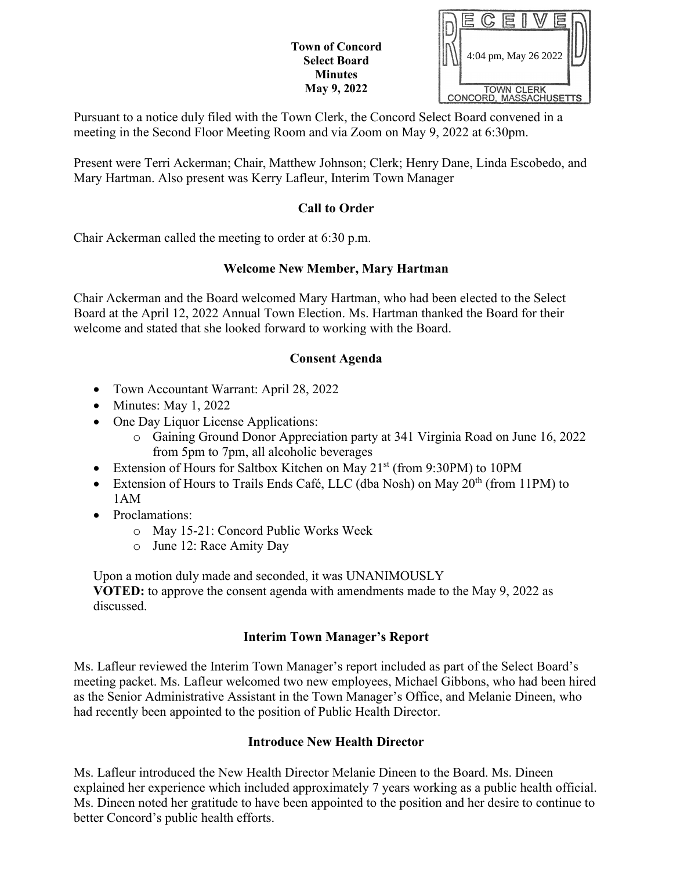| <b>Town of Concord</b> |  |  |  |  |  |  |
|------------------------|--|--|--|--|--|--|
| <b>Select Board</b>    |  |  |  |  |  |  |
| <b>Minutes</b>         |  |  |  |  |  |  |
| <b>May 9, 2022</b>     |  |  |  |  |  |  |

|  |            | 4:04 pm, May 26 2022   |  |
|--|------------|------------------------|--|
|  |            |                        |  |
|  | TOWN CLERK | CONCORD, MASSACHUSETTS |  |

Pursuant to a notice duly filed with the Town Clerk, the Concord Select Board convened in a meeting in the Second Floor Meeting Room and via Zoom on May 9, 2022 at 6:30pm.

Present were Terri Ackerman; Chair, Matthew Johnson; Clerk; Henry Dane, Linda Escobedo, and Mary Hartman. Also present was Kerry Lafleur, Interim Town Manager

## **Call to Order**

Chair Ackerman called the meeting to order at 6:30 p.m.

## **Welcome New Member, Mary Hartman**

Chair Ackerman and the Board welcomed Mary Hartman, who had been elected to the Select Board at the April 12, 2022 Annual Town Election. Ms. Hartman thanked the Board for their welcome and stated that she looked forward to working with the Board.

## **Consent Agenda**

- Town Accountant Warrant: April 28, 2022
- Minutes: May 1, 2022
- One Day Liquor License Applications:
	- o Gaining Ground Donor Appreciation party at 341 Virginia Road on June 16, 2022 from 5pm to 7pm, all alcoholic beverages
- Extension of Hours for Saltbox Kitchen on May 21<sup>st</sup> (from 9:30PM) to 10PM
- Extension of Hours to Trails Ends Café, LLC (dba Nosh) on May 20<sup>th</sup> (from 11PM) to 1AM
- Proclamations:
	- o May 15-21: Concord Public Works Week
	- o June 12: Race Amity Day

Upon a motion duly made and seconded, it was UNANIMOUSLY **VOTED:** to approve the consent agenda with amendments made to the May 9, 2022 as discussed.

# **Interim Town Manager's Report**

Ms. Lafleur reviewed the Interim Town Manager's report included as part of the Select Board's meeting packet. Ms. Lafleur welcomed two new employees, Michael Gibbons, who had been hired as the Senior Administrative Assistant in the Town Manager's Office, and Melanie Dineen, who had recently been appointed to the position of Public Health Director.

## **Introduce New Health Director**

Ms. Lafleur introduced the New Health Director Melanie Dineen to the Board. Ms. Dineen explained her experience which included approximately 7 years working as a public health official. Ms. Dineen noted her gratitude to have been appointed to the position and her desire to continue to better Concord's public health efforts.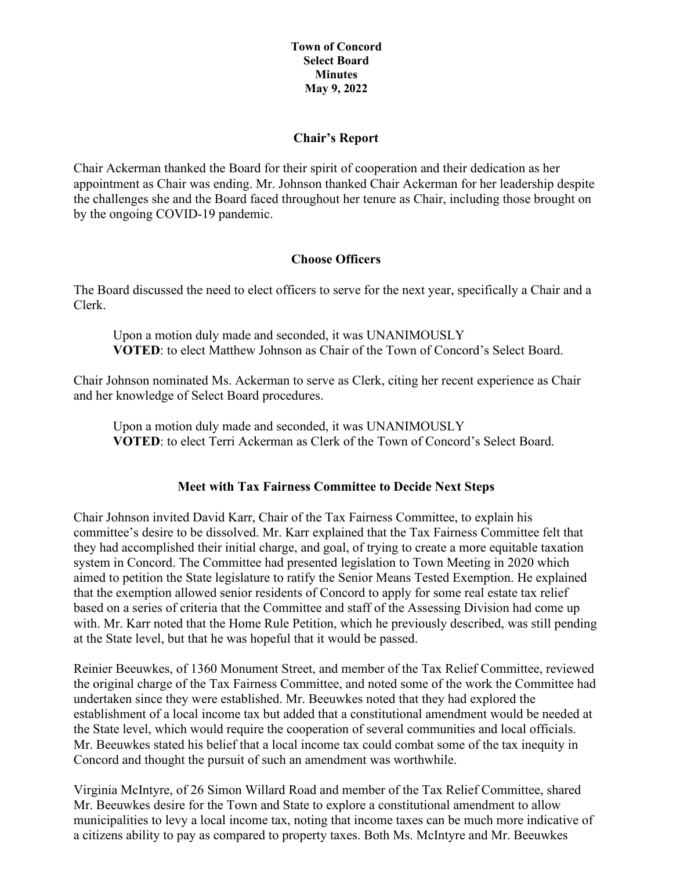### **Chair's Report**

Chair Ackerman thanked the Board for their spirit of cooperation and their dedication as her appointment as Chair was ending. Mr. Johnson thanked Chair Ackerman for her leadership despite the challenges she and the Board faced throughout her tenure as Chair, including those brought on by the ongoing COVID-19 pandemic.

### **Choose Officers**

The Board discussed the need to elect officers to serve for the next year, specifically a Chair and a Clerk.

Upon a motion duly made and seconded, it was UNANIMOUSLY **VOTED**: to elect Matthew Johnson as Chair of the Town of Concord's Select Board.

Chair Johnson nominated Ms. Ackerman to serve as Clerk, citing her recent experience as Chair and her knowledge of Select Board procedures.

Upon a motion duly made and seconded, it was UNANIMOUSLY **VOTED**: to elect Terri Ackerman as Clerk of the Town of Concord's Select Board.

## **Meet with Tax Fairness Committee to Decide Next Steps**

Chair Johnson invited David Karr, Chair of the Tax Fairness Committee, to explain his committee's desire to be dissolved. Mr. Karr explained that the Tax Fairness Committee felt that they had accomplished their initial charge, and goal, of trying to create a more equitable taxation system in Concord. The Committee had presented legislation to Town Meeting in 2020 which aimed to petition the State legislature to ratify the Senior Means Tested Exemption. He explained that the exemption allowed senior residents of Concord to apply for some real estate tax relief based on a series of criteria that the Committee and staff of the Assessing Division had come up with. Mr. Karr noted that the Home Rule Petition, which he previously described, was still pending at the State level, but that he was hopeful that it would be passed.

Reinier Beeuwkes, of 1360 Monument Street, and member of the Tax Relief Committee, reviewed the original charge of the Tax Fairness Committee, and noted some of the work the Committee had undertaken since they were established. Mr. Beeuwkes noted that they had explored the establishment of a local income tax but added that a constitutional amendment would be needed at the State level, which would require the cooperation of several communities and local officials. Mr. Beeuwkes stated his belief that a local income tax could combat some of the tax inequity in Concord and thought the pursuit of such an amendment was worthwhile.

Virginia McIntyre, of 26 Simon Willard Road and member of the Tax Relief Committee, shared Mr. Beeuwkes desire for the Town and State to explore a constitutional amendment to allow municipalities to levy a local income tax, noting that income taxes can be much more indicative of a citizens ability to pay as compared to property taxes. Both Ms. McIntyre and Mr. Beeuwkes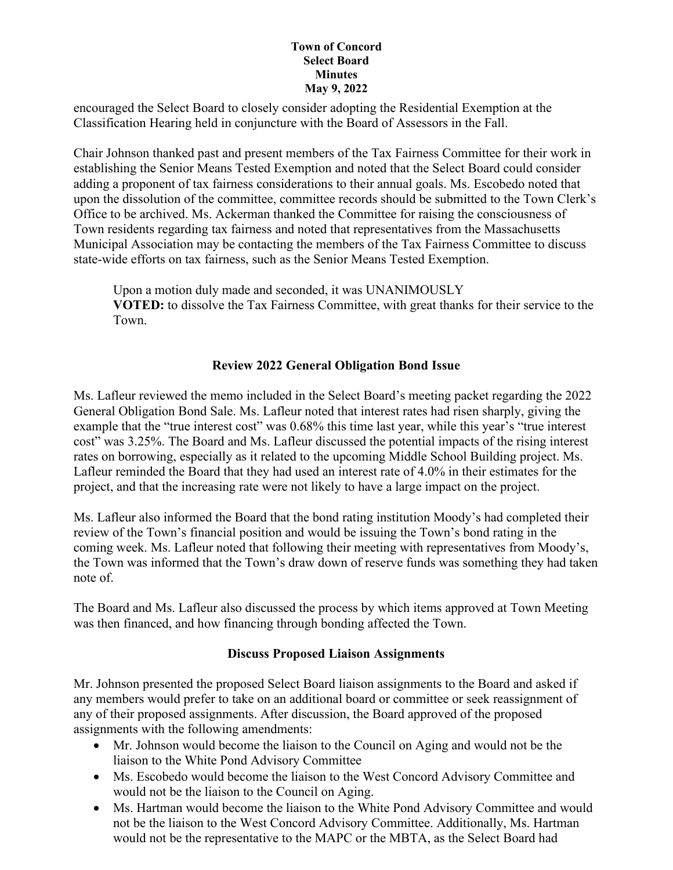encouraged the Select Board to closely consider adopting the Residential Exemption at the Classification Hearing held in conjuncture with the Board of Assessors in the Fall.

Chair Johnson thanked past and present members of the Tax Fairness Committee for their work in establishing the Senior Means Tested Exemption and noted that the Select Board could consider adding a proponent of tax fairness considerations to their annual goals. Ms. Escobedo noted that upon the dissolution of the committee, committee records should be submitted to the Town Clerk's Office to be archived. Ms. Ackerman thanked the Committee for raising the consciousness of Town residents regarding tax fairness and noted that representatives from the Massachusetts Municipal Association may be contacting the members of the Tax Fairness Committee to discuss state-wide efforts on tax fairness, such as the Senior Means Tested Exemption.

Upon a motion duly made and seconded, it was UNANIMOUSLY **VOTED:** to dissolve the Tax Fairness Committee, with great thanks for their service to the Town.

## **Review 2022 General Obligation Bond Issue**

Ms. Lafleur reviewed the memo included in the Select Board's meeting packet regarding the 2022 General Obligation Bond Sale. Ms. Lafleur noted that interest rates had risen sharply, giving the example that the "true interest cost" was 0.68% this time last year, while this year's "true interest cost" was 3.25%. The Board and Ms. Lafleur discussed the potential impacts of the rising interest rates on borrowing, especially as it related to the upcoming Middle School Building project. Ms. Lafleur reminded the Board that they had used an interest rate of 4.0% in their estimates for the project, and that the increasing rate were not likely to have a large impact on the project.

Ms. Lafleur also informed the Board that the bond rating institution Moody's had completed their review of the Town's financial position and would be issuing the Town's bond rating in the coming week. Ms. Lafleur noted that following their meeting with representatives from Moody's, the Town was informed that the Town's draw down of reserve funds was something they had taken note of.

The Board and Ms. Lafleur also discussed the process by which items approved at Town Meeting was then financed, and how financing through bonding affected the Town.

## **Discuss Proposed Liaison Assignments**

Mr. Johnson presented the proposed Select Board liaison assignments to the Board and asked if any members would prefer to take on an additional board or committee or seek reassignment of any of their proposed assignments. After discussion, the Board approved of the proposed assignments with the following amendments:

- Mr. Johnson would become the liaison to the Council on Aging and would not be the liaison to the White Pond Advisory Committee
- Ms. Escobedo would become the liaison to the West Concord Advisory Committee and would not be the liaison to the Council on Aging.
- Ms. Hartman would become the liaison to the White Pond Advisory Committee and would not be the liaison to the West Concord Advisory Committee. Additionally, Ms. Hartman would not be the representative to the MAPC or the MBTA, as the Select Board had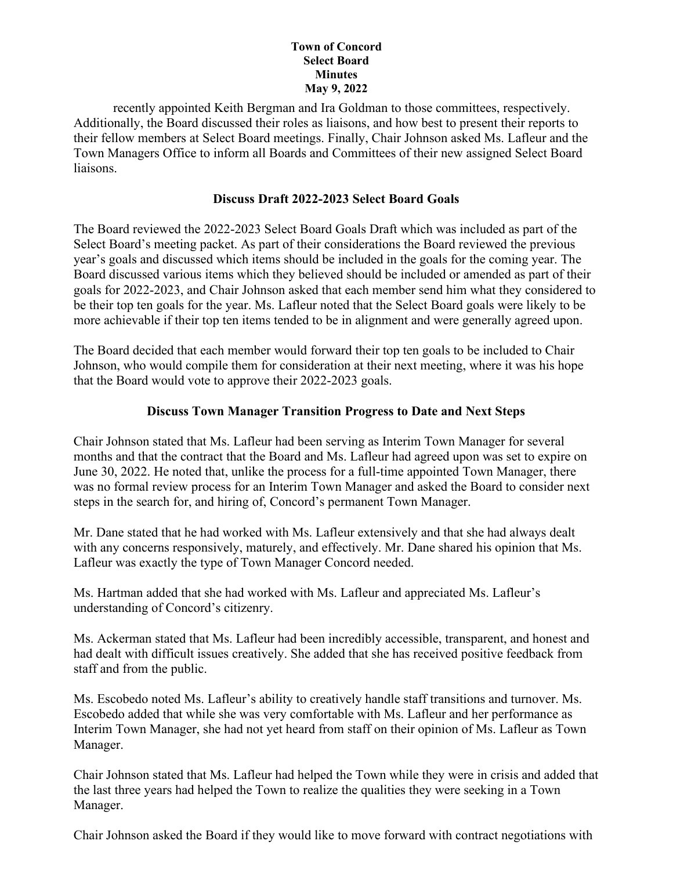recently appointed Keith Bergman and Ira Goldman to those committees, respectively. Additionally, the Board discussed their roles as liaisons, and how best to present their reports to their fellow members at Select Board meetings. Finally, Chair Johnson asked Ms. Lafleur and the Town Managers Office to inform all Boards and Committees of their new assigned Select Board liaisons.

### **Discuss Draft 2022-2023 Select Board Goals**

The Board reviewed the 2022-2023 Select Board Goals Draft which was included as part of the Select Board's meeting packet. As part of their considerations the Board reviewed the previous year's goals and discussed which items should be included in the goals for the coming year. The Board discussed various items which they believed should be included or amended as part of their goals for 2022-2023, and Chair Johnson asked that each member send him what they considered to be their top ten goals for the year. Ms. Lafleur noted that the Select Board goals were likely to be more achievable if their top ten items tended to be in alignment and were generally agreed upon.

The Board decided that each member would forward their top ten goals to be included to Chair Johnson, who would compile them for consideration at their next meeting, where it was his hope that the Board would vote to approve their 2022-2023 goals.

## **Discuss Town Manager Transition Progress to Date and Next Steps**

Chair Johnson stated that Ms. Lafleur had been serving as Interim Town Manager for several months and that the contract that the Board and Ms. Lafleur had agreed upon was set to expire on June 30, 2022. He noted that, unlike the process for a full-time appointed Town Manager, there was no formal review process for an Interim Town Manager and asked the Board to consider next steps in the search for, and hiring of, Concord's permanent Town Manager.

Mr. Dane stated that he had worked with Ms. Lafleur extensively and that she had always dealt with any concerns responsively, maturely, and effectively. Mr. Dane shared his opinion that Ms. Lafleur was exactly the type of Town Manager Concord needed.

Ms. Hartman added that she had worked with Ms. Lafleur and appreciated Ms. Lafleur's understanding of Concord's citizenry.

Ms. Ackerman stated that Ms. Lafleur had been incredibly accessible, transparent, and honest and had dealt with difficult issues creatively. She added that she has received positive feedback from staff and from the public.

Ms. Escobedo noted Ms. Lafleur's ability to creatively handle staff transitions and turnover. Ms. Escobedo added that while she was very comfortable with Ms. Lafleur and her performance as Interim Town Manager, she had not yet heard from staff on their opinion of Ms. Lafleur as Town Manager.

Chair Johnson stated that Ms. Lafleur had helped the Town while they were in crisis and added that the last three years had helped the Town to realize the qualities they were seeking in a Town Manager.

Chair Johnson asked the Board if they would like to move forward with contract negotiations with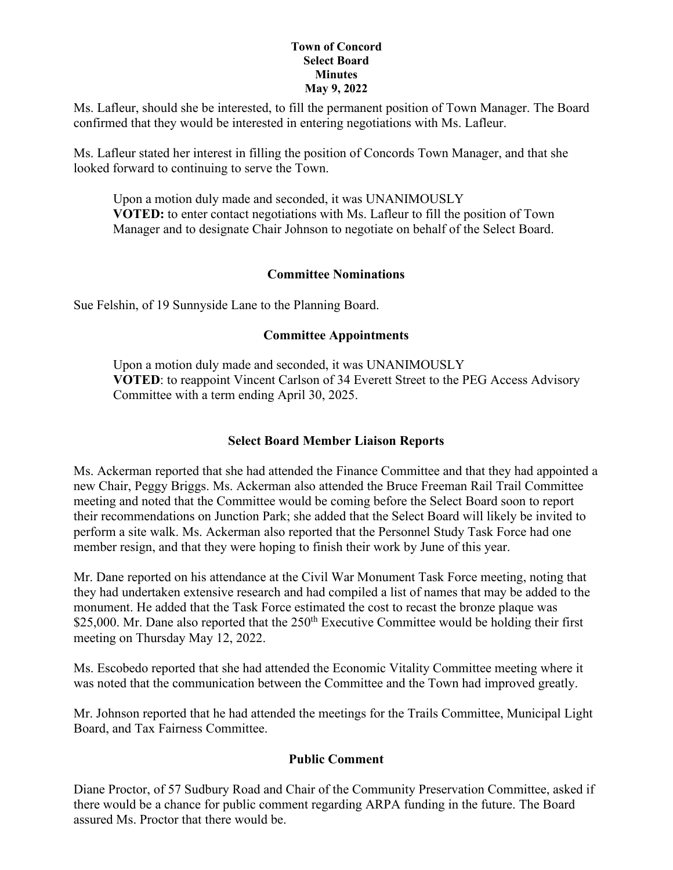Ms. Lafleur, should she be interested, to fill the permanent position of Town Manager. The Board confirmed that they would be interested in entering negotiations with Ms. Lafleur.

Ms. Lafleur stated her interest in filling the position of Concords Town Manager, and that she looked forward to continuing to serve the Town.

Upon a motion duly made and seconded, it was UNANIMOUSLY **VOTED:** to enter contact negotiations with Ms. Lafleur to fill the position of Town Manager and to designate Chair Johnson to negotiate on behalf of the Select Board.

## **Committee Nominations**

Sue Felshin, of 19 Sunnyside Lane to the Planning Board.

## **Committee Appointments**

Upon a motion duly made and seconded, it was UNANIMOUSLY **VOTED**: to reappoint Vincent Carlson of 34 Everett Street to the PEG Access Advisory Committee with a term ending April 30, 2025.

## **Select Board Member Liaison Reports**

Ms. Ackerman reported that she had attended the Finance Committee and that they had appointed a new Chair, Peggy Briggs. Ms. Ackerman also attended the Bruce Freeman Rail Trail Committee meeting and noted that the Committee would be coming before the Select Board soon to report their recommendations on Junction Park; she added that the Select Board will likely be invited to perform a site walk. Ms. Ackerman also reported that the Personnel Study Task Force had one member resign, and that they were hoping to finish their work by June of this year.

Mr. Dane reported on his attendance at the Civil War Monument Task Force meeting, noting that they had undertaken extensive research and had compiled a list of names that may be added to the monument. He added that the Task Force estimated the cost to recast the bronze plaque was \$25,000. Mr. Dane also reported that the  $250<sup>th</sup>$  Executive Committee would be holding their first meeting on Thursday May 12, 2022.

Ms. Escobedo reported that she had attended the Economic Vitality Committee meeting where it was noted that the communication between the Committee and the Town had improved greatly.

Mr. Johnson reported that he had attended the meetings for the Trails Committee, Municipal Light Board, and Tax Fairness Committee.

## **Public Comment**

Diane Proctor, of 57 Sudbury Road and Chair of the Community Preservation Committee, asked if there would be a chance for public comment regarding ARPA funding in the future. The Board assured Ms. Proctor that there would be.